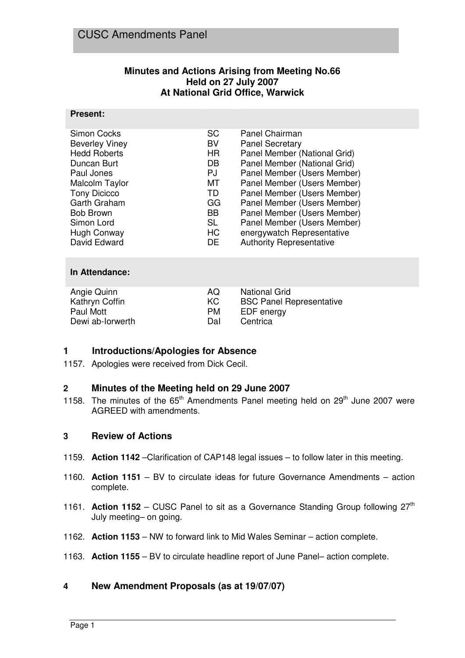# **Minutes and Actions Arising from Meeting No.66 Held on 27 July 2007 At National Grid Office, Warwick**

#### **Present:**

|           | Panel Chairman                  |
|-----------|---------------------------------|
| BV        | <b>Panel Secretary</b>          |
| <b>HR</b> | Panel Member (National Grid)    |
| DB        | Panel Member (National Grid)    |
| PJ        | Panel Member (Users Member)     |
| МT        | Panel Member (Users Member)     |
| TD        | Panel Member (Users Member)     |
| GG        | Panel Member (Users Member)     |
| <b>BB</b> | Panel Member (Users Member)     |
| SL        | Panel Member (Users Member)     |
| HC        | energywatch Representative      |
| <b>DE</b> | <b>Authority Representative</b> |
|           | <b>SC</b>                       |

#### **In Attendance:**

| Angie Quinn      | A <sub>(</sub> ) | National Grid                   |
|------------------|------------------|---------------------------------|
| Kathryn Coffin   | KC.              | <b>BSC Panel Representative</b> |
| Paul Mott        | PM.              | EDF energy                      |
| Dewi ab-lorwerth | Dal              | Centrica                        |

# **1 Introductions/Apologies for Absence**

1157. Apologies were received from Dick Cecil.

#### **2 Minutes of the Meeting held on 29 June 2007**

1158. The minutes of the  $65<sup>th</sup>$  Amendments Panel meeting held on 29<sup>th</sup> June 2007 were AGREED with amendments.

#### **3 Review of Actions**

- 1159. **Action 1142** –Clarification of CAP148 legal issues to follow later in this meeting.
- 1160. **Action 1151**  BV to circulate ideas for future Governance Amendments action complete.
- 1161. **Action 1152** CUSC Panel to sit as a Governance Standing Group following  $27<sup>th</sup>$ July meeting– on going.
- 1162. **Action 1153** NW to forward link to Mid Wales Seminar action complete.
- 1163. **Action 1155**  BV to circulate headline report of June Panel– action complete.

#### **4 New Amendment Proposals (as at 19/07/07)**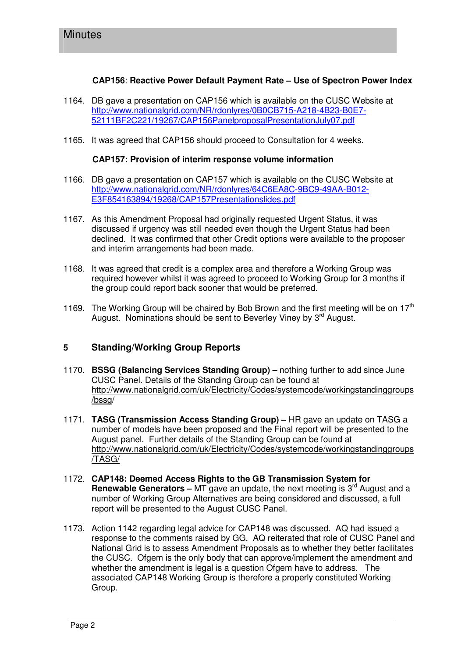### **CAP156**: **Reactive Power Default Payment Rate – Use of Spectron Power Index**

- 1164. DB gave a presentation on CAP156 which is available on the CUSC Website at http://www.nationalgrid.com/NR/rdonlyres/0B0CB715-A218-4B23-B0E7- 52111BF2C221/19267/CAP156PanelproposalPresentationJuly07.pdf
- 1165. It was agreed that CAP156 should proceed to Consultation for 4 weeks.

#### **CAP157: Provision of interim response volume information**

- 1166. DB gave a presentation on CAP157 which is available on the CUSC Website at http://www.nationalgrid.com/NR/rdonlyres/64C6EA8C-9BC9-49AA-B012- E3F854163894/19268/CAP157Presentationslides.pdf
- 1167. As this Amendment Proposal had originally requested Urgent Status, it was discussed if urgency was still needed even though the Urgent Status had been declined. It was confirmed that other Credit options were available to the proposer and interim arrangements had been made.
- 1168. It was agreed that credit is a complex area and therefore a Working Group was required however whilst it was agreed to proceed to Working Group for 3 months if the group could report back sooner that would be preferred.
- 1169. The Working Group will be chaired by Bob Brown and the first meeting will be on  $17<sup>th</sup>$ August. Nominations should be sent to Beverley Viney by  $3<sup>rd</sup>$  August.

# **5 Standing/Working Group Reports**

- 1170. **BSSG (Balancing Services Standing Group) –** nothing further to add since June CUSC Panel. Details of the Standing Group can be found at http://www.nationalgrid.com/uk/Electricity/Codes/systemcode/workingstandinggroups /bssg/
- 1171. **TASG (Transmission Access Standing Group)** HR gave an update on TASG a number of models have been proposed and the Final report will be presented to the August panel. Further details of the Standing Group can be found at http://www.nationalgrid.com/uk/Electricity/Codes/systemcode/workingstandinggroups /TASG/
- 1172. **CAP148: Deemed Access Rights to the GB Transmission System for Renewable Generators –** MT gave an update, the next meeting is 3<sup>rd</sup> August and a number of Working Group Alternatives are being considered and discussed, a full report will be presented to the August CUSC Panel.
- 1173. Action 1142 regarding legal advice for CAP148 was discussed. AQ had issued a response to the comments raised by GG. AQ reiterated that role of CUSC Panel and National Grid is to assess Amendment Proposals as to whether they better facilitates the CUSC. Ofgem is the only body that can approve/implement the amendment and whether the amendment is legal is a question Ofgem have to address. The associated CAP148 Working Group is therefore a properly constituted Working Group.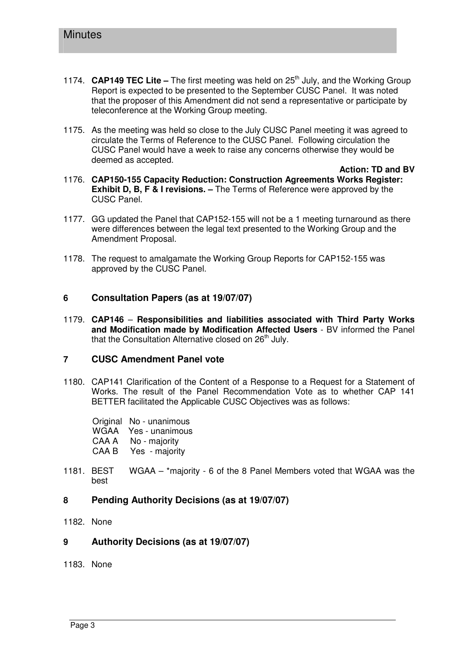- 1174. **CAP149 TEC Lite –** The first meeting was held on 25<sup>th</sup> July, and the Working Group Report is expected to be presented to the September CUSC Panel. It was noted that the proposer of this Amendment did not send a representative or participate by teleconference at the Working Group meeting.
- 1175. As the meeting was held so close to the July CUSC Panel meeting it was agreed to circulate the Terms of Reference to the CUSC Panel. Following circulation the CUSC Panel would have a week to raise any concerns otherwise they would be deemed as accepted.
- **Action: TD and BV** 1176. **CAP150-155 Capacity Reduction: Construction Agreements Works Register: Exhibit D, B, F & I revisions. –** The Terms of Reference were approved by the CUSC Panel.
- 1177. GG updated the Panel that CAP152-155 will not be a 1 meeting turnaround as there were differences between the legal text presented to the Working Group and the Amendment Proposal.
- 1178. The request to amalgamate the Working Group Reports for CAP152-155 was approved by the CUSC Panel.

# **6 Consultation Papers (as at 19/07/07)**

1179. **CAP146** – **Responsibilities and liabilities associated with Third Party Works and Modification made by Modification Affected Users** - BV informed the Panel that the Consultation Alternative closed on  $26<sup>th</sup>$  July.

#### **7 CUSC Amendment Panel vote**

1180. CAP141 Clarification of the Content of a Response to a Request for a Statement of Works. The result of the Panel Recommendation Vote as to whether CAP 141 BETTER facilitated the Applicable CUSC Objectives was as follows:

Original No - unanimous WGAA Yes - unanimous CAA A No - majority CAA B Yes - majority

- 1181. BEST WGAA \*majority 6 of the 8 Panel Members voted that WGAA was the best
- **8 Pending Authority Decisions (as at 19/07/07)**
- 1182. None
- **9 Authority Decisions (as at 19/07/07)**
- 1183. None